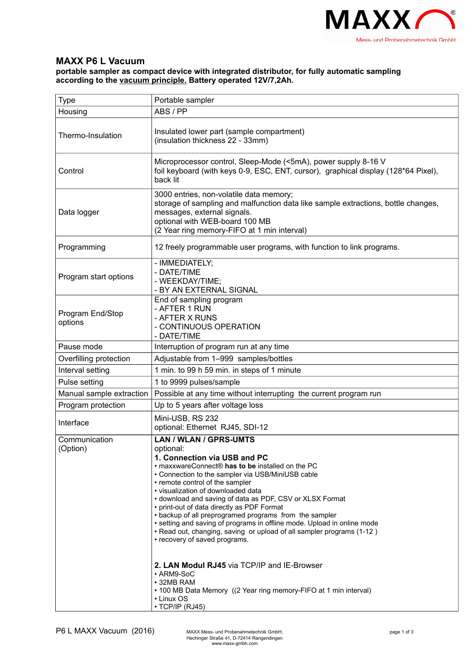

## **MAXX P6 L Vacuum**

## **portable sampler as compact device with integrated distributor, for fully automatic sampling according to the vacuum principle. Battery operated 12V/7,2Ah.**

| Type                        | Portable sampler                                                                                                                                                                                                                                                                                                                                                                                                                                                                                                                                                                                                                                                                                                                                                                                             |
|-----------------------------|--------------------------------------------------------------------------------------------------------------------------------------------------------------------------------------------------------------------------------------------------------------------------------------------------------------------------------------------------------------------------------------------------------------------------------------------------------------------------------------------------------------------------------------------------------------------------------------------------------------------------------------------------------------------------------------------------------------------------------------------------------------------------------------------------------------|
| Housing                     | ABS / PP                                                                                                                                                                                                                                                                                                                                                                                                                                                                                                                                                                                                                                                                                                                                                                                                     |
| Thermo-Insulation           | Insulated lower part (sample compartment)<br>(insulation thickness 22 - 33mm)                                                                                                                                                                                                                                                                                                                                                                                                                                                                                                                                                                                                                                                                                                                                |
| Control                     | Microprocessor control, Sleep-Mode (<5mA), power supply 8-16 V<br>foil keyboard (with keys 0-9, ESC, ENT, cursor), graphical display (128*64 Pixel),<br>back lit                                                                                                                                                                                                                                                                                                                                                                                                                                                                                                                                                                                                                                             |
| Data logger                 | 3000 entries, non-volatile data memory;<br>storage of sampling and malfunction data like sample extractions, bottle changes,<br>messages, external signals.<br>optional with WEB-board 100 MB<br>(2 Year ring memory-FIFO at 1 min interval)                                                                                                                                                                                                                                                                                                                                                                                                                                                                                                                                                                 |
| Programming                 | 12 freely programmable user programs, with function to link programs.                                                                                                                                                                                                                                                                                                                                                                                                                                                                                                                                                                                                                                                                                                                                        |
| Program start options       | - IMMEDIATELY;<br>- DATE/TIME<br>- WEEKDAY/TIME;<br>- BY AN EXTERNAL SIGNAL                                                                                                                                                                                                                                                                                                                                                                                                                                                                                                                                                                                                                                                                                                                                  |
| Program End/Stop<br>options | End of sampling program<br>- AFTER 1 RUN<br>- AFTER X RUNS<br>- CONTINUOUS OPERATION<br>- DATE/TIME                                                                                                                                                                                                                                                                                                                                                                                                                                                                                                                                                                                                                                                                                                          |
| Pause mode                  | Interruption of program run at any time                                                                                                                                                                                                                                                                                                                                                                                                                                                                                                                                                                                                                                                                                                                                                                      |
| Overfilling protection      | Adjustable from 1-999 samples/bottles                                                                                                                                                                                                                                                                                                                                                                                                                                                                                                                                                                                                                                                                                                                                                                        |
| Interval setting            | 1 min. to 99 h 59 min. in steps of 1 minute                                                                                                                                                                                                                                                                                                                                                                                                                                                                                                                                                                                                                                                                                                                                                                  |
| Pulse setting               | 1 to 9999 pulses/sample                                                                                                                                                                                                                                                                                                                                                                                                                                                                                                                                                                                                                                                                                                                                                                                      |
| Manual sample extraction    | Possible at any time without interrupting the current program run                                                                                                                                                                                                                                                                                                                                                                                                                                                                                                                                                                                                                                                                                                                                            |
| Program protection          | Up to 5 years after voltage loss                                                                                                                                                                                                                                                                                                                                                                                                                                                                                                                                                                                                                                                                                                                                                                             |
| Interface                   | Mini-USB, RS 232<br>optional: Ethernet RJ45, SDI-12                                                                                                                                                                                                                                                                                                                                                                                                                                                                                                                                                                                                                                                                                                                                                          |
| Communication<br>(Option)   | <b>LAN / WLAN / GPRS-UMTS</b><br>optional:<br>1. Connection via USB and PC<br>• maxxwareConnect® has to be installed on the PC<br>• Connection to the sampler via USB/MiniUSB cable<br>• remote control of the sampler<br>• visualization of downloaded data<br>• download and saving of data as PDF, CSV or XLSX Format<br>• print-out of data directly as PDF Format<br>• backup of all preprogramed programs from the sampler<br>• setting and saving of programs in offline mode. Upload in online mode<br>. Read out, changing, saving or upload of all sampler programs (1-12)<br>• recovery of saved programs.<br>2. LAN Modul RJ45 via TCP/IP and IE-Browser<br>• ARM9-SoC<br>• 32MB RAM<br>• 100 MB Data Memory ((2 Year ring memory-FIFO at 1 min interval)<br>• Linux OS<br>$\cdot$ TCP/IP (RJ45) |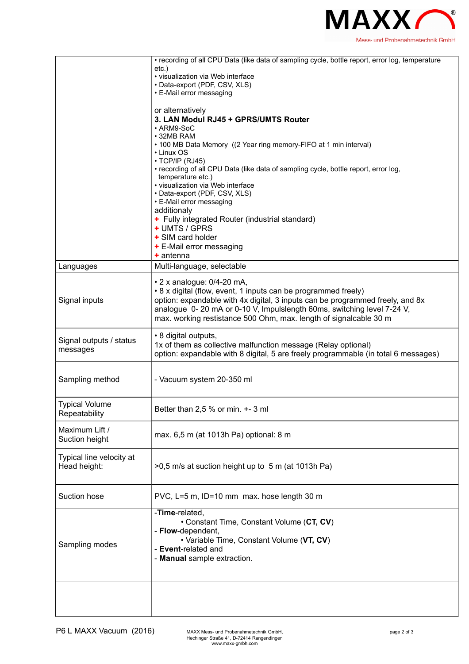

|                          | • recording of all CPU Data (like data of sampling cycle, bottle report, error log, temperature |
|--------------------------|-------------------------------------------------------------------------------------------------|
|                          | etc.)                                                                                           |
|                          | • visualization via Web interface                                                               |
|                          | • Data-export (PDF, CSV, XLS)                                                                   |
|                          | • E-Mail error messaging                                                                        |
|                          |                                                                                                 |
|                          | or alternatively                                                                                |
|                          | 3. LAN Modul RJ45 + GPRS/UMTS Router                                                            |
|                          | • ARM9-SoC                                                                                      |
|                          | • 32MB RAM                                                                                      |
|                          | • 100 MB Data Memory ((2 Year ring memory-FIFO at 1 min interval)                               |
|                          | • Linux OS                                                                                      |
|                          | $\cdot$ TCP/IP (RJ45)                                                                           |
|                          | • recording of all CPU Data (like data of sampling cycle, bottle report, error log,             |
|                          | temperature etc.)<br>• visualization via Web interface                                          |
|                          | • Data-export (PDF, CSV, XLS)                                                                   |
|                          | • E-Mail error messaging                                                                        |
|                          | additionaly                                                                                     |
|                          | + Fully integrated Router (industrial standard)                                                 |
|                          | + UMTS / GPRS                                                                                   |
|                          | + SIM card holder                                                                               |
|                          | + E-Mail error messaging                                                                        |
|                          | $+$ antenna                                                                                     |
|                          |                                                                                                 |
| Languages                | Multi-language, selectable                                                                      |
|                          | • 2 x analogue: 0/4-20 mA,                                                                      |
|                          | • 8 x digital (flow, event, 1 inputs can be programmed freely)                                  |
| Signal inputs            | option: expandable with 4x digital, 3 inputs can be programmed freely, and 8x                   |
|                          | analogue 0-20 mA or 0-10 V, Impulslength 60ms, switching level 7-24 V,                          |
|                          | max. working restistance 500 Ohm, max. length of signalcable 30 m                               |
|                          |                                                                                                 |
|                          | • 8 digital outputs,                                                                            |
| Signal outputs / status  | 1x of them as collective malfunction message (Relay optional)                                   |
| messages                 | option: expandable with 8 digital, 5 are freely programmable (in total 6 messages)              |
|                          |                                                                                                 |
|                          |                                                                                                 |
| Sampling method          | - Vacuum system 20-350 ml                                                                       |
|                          |                                                                                                 |
|                          |                                                                                                 |
| <b>Typical Volume</b>    | Better than 2,5 % or min. +- 3 ml                                                               |
| Repeatability            |                                                                                                 |
|                          |                                                                                                 |
| Maximum Lift /           | max. 6,5 m (at 1013h Pa) optional: 8 m                                                          |
| Suction height           |                                                                                                 |
|                          |                                                                                                 |
| Typical line velocity at |                                                                                                 |
| Head height:             | >0,5 m/s at suction height up to 5 m (at 1013h Pa)                                              |
|                          |                                                                                                 |
|                          |                                                                                                 |
| Suction hose             | PVC, L=5 m, ID=10 mm max. hose length 30 m                                                      |
|                          |                                                                                                 |
|                          | -Time-related,                                                                                  |
|                          | • Constant Time, Constant Volume (CT, CV)                                                       |
|                          | - Flow-dependent,                                                                               |
|                          | • Variable Time, Constant Volume (VT, CV)                                                       |
| Sampling modes           | - Event-related and                                                                             |
|                          | - Manual sample extraction.                                                                     |
|                          |                                                                                                 |
|                          |                                                                                                 |
|                          |                                                                                                 |
|                          |                                                                                                 |
|                          |                                                                                                 |
|                          |                                                                                                 |